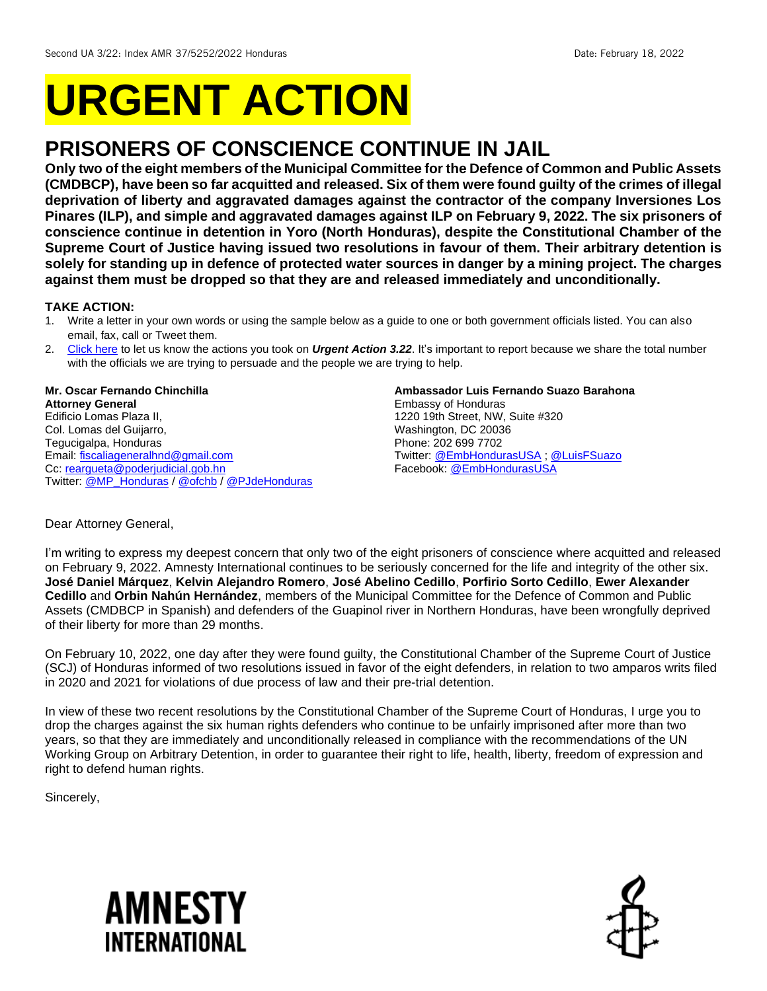# **URGENT ACTION**

## **PRISONERS OF CONSCIENCE CONTINUE IN JAIL**

**Only two of the eight members of the Municipal Committee for the Defence of Common and Public Assets (CMDBCP), have been so far acquitted and released. Six of them were found guilty of the crimes of illegal deprivation of liberty and aggravated damages against the contractor of the company Inversiones Los Pinares (ILP), and simple and aggravated damages against ILP on February 9, 2022. The six prisoners of conscience continue in detention in Yoro (North Honduras), despite the Constitutional Chamber of the Supreme Court of Justice having issued two resolutions in favour of them. Their arbitrary detention is solely for standing up in defence of protected water sources in danger by a mining project. The charges against them must be dropped so that they are and released immediately and unconditionally.** 

#### **TAKE ACTION:**

- 1. Write a letter in your own words or using the sample below as a guide to one or both government officials listed. You can also email, fax, call or Tweet them.
- 2. [Click here](https://www.amnestyusa.org/report-urgent-actions/) to let us know the actions you took on *Urgent Action 3.22*. It's important to report because we share the total number with the officials we are trying to persuade and the people we are trying to help.

#### **Mr. Oscar Fernando Chinchilla Attorney General** Edificio Lomas Plaza II, Col. Lomas del Guijarro, Tegucigalpa, Honduras Email[: fiscaliageneralhnd@gmail.com](mailto:fiscaliageneralhnd@gmail.com) Cc: [reargueta@poderjudicial.gob.hn](mailto:reargueta@poderjudicial.gob.hn) Twitter: [@MP\\_Honduras](https://twitter.com/MP_Honduras) / [@ofchb](https://twitter.com/ofchb) / [@PJdeHonduras](https://twitter.com/PJdeHonduras)

#### **Ambassador Luis Fernando Suazo Barahona**

Embassy of Honduras 1220 19th Street, NW, Suite #320 Washington, DC 20036 Phone: 202 699 7702 Twitter: [@EmbHondurasUSA](https://twitter.com/EmbHondurasUSA) [; @LuisFSuazo](https://twitter.com/LuisFSuazo) Facebook[: @EmbHondurasUSA](https://www.facebook.com/EmbHondurasUSA)

#### Dear Attorney General,

I'm writing to express my deepest concern that only two of the eight prisoners of conscience where acquitted and released on February 9, 2022. Amnesty International continues to be seriously concerned for the life and integrity of the other six. **José Daniel Márquez**, **Kelvin Alejandro Romero**, **José Abelino Cedillo**, **Porfirio Sorto Cedillo**, **Ewer Alexander Cedillo** and **Orbin Nahún Hernández**, members of the Municipal Committee for the Defence of Common and Public Assets (CMDBCP in Spanish) and defenders of the Guapinol river in Northern Honduras, have been wrongfully deprived of their liberty for more than 29 months.

On February 10, 2022, one day after they were found guilty, the Constitutional Chamber of the Supreme Court of Justice (SCJ) of Honduras informed of two resolutions issued in favor of the eight defenders, in relation to two amparos writs filed in 2020 and 2021 for violations of due process of law and their pre-trial detention.

In view of these two recent resolutions by the Constitutional Chamber of the Supreme Court of Honduras, I urge you to drop the charges against the six human rights defenders who continue to be unfairly imprisoned after more than two years, so that they are immediately and unconditionally released in compliance with the recommendations of the UN Working Group on Arbitrary Detention, in order to guarantee their right to life, health, liberty, freedom of expression and right to defend human rights.

Sincerely,